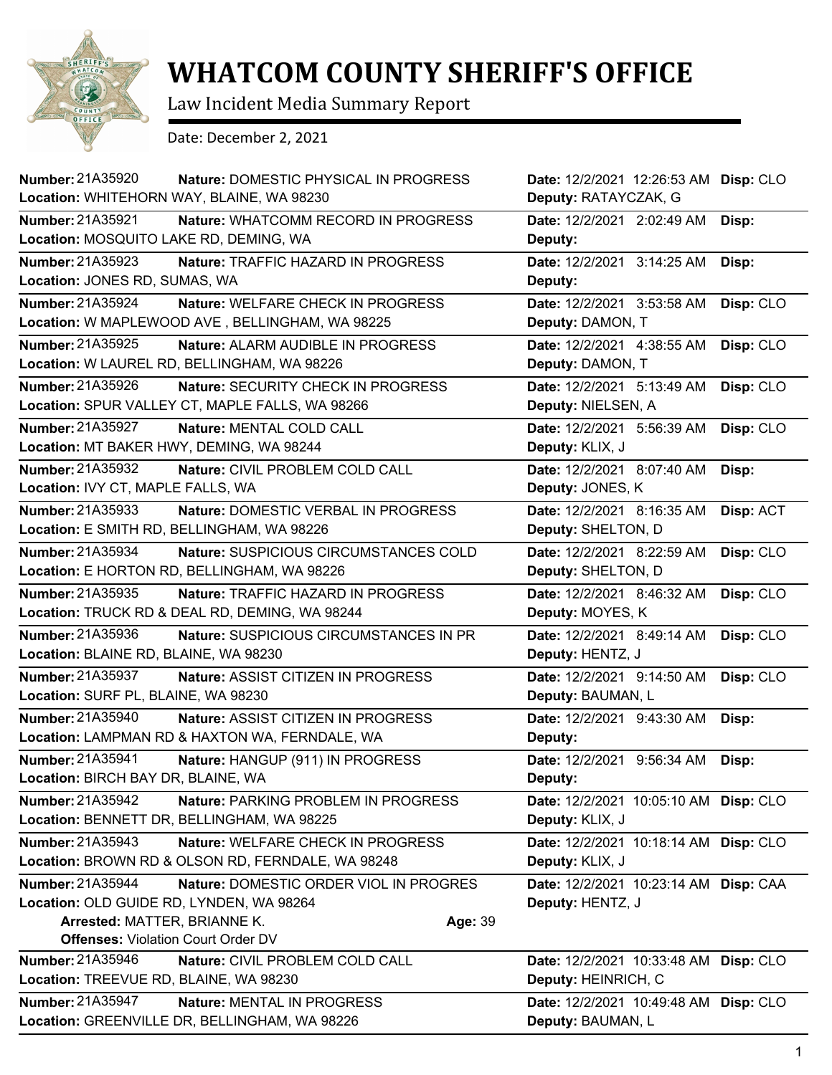

## **WHATCOM COUNTY SHERIFF'S OFFICE**

Law Incident Media Summary Report

Date: December 2, 2021

| <b>Number: 21A35920</b><br>Location: WHITEHORN WAY, BLAINE, WA 98230                                                                      | Nature: DOMESTIC PHYSICAL IN PROGRESS             | Date: 12/2/2021 12:26:53 AM Disp: CLO<br>Deputy: RATAYCZAK, G |           |
|-------------------------------------------------------------------------------------------------------------------------------------------|---------------------------------------------------|---------------------------------------------------------------|-----------|
| <b>Number: 21A35921</b><br>Location: MOSQUITO LAKE RD, DEMING, WA                                                                         | Nature: WHATCOMM RECORD IN PROGRESS               | Date: 12/2/2021 2:02:49 AM<br>Deputy:                         | Disp:     |
| Number: 21A35923<br>Location: JONES RD, SUMAS, WA                                                                                         | Nature: TRAFFIC HAZARD IN PROGRESS                | Date: 12/2/2021 3:14:25 AM<br>Deputy:                         | Disp:     |
| Number: 21A35924<br>Location: W MAPLEWOOD AVE, BELLINGHAM, WA 98225                                                                       | Nature: WELFARE CHECK IN PROGRESS                 | Date: 12/2/2021 3:53:58 AM<br>Deputy: DAMON, T                | Disp: CLO |
| Number: 21A35925<br>Location: W LAUREL RD, BELLINGHAM, WA 98226                                                                           | Nature: ALARM AUDIBLE IN PROGRESS                 | Date: 12/2/2021 4:38:55 AM<br>Deputy: DAMON, T                | Disp: CLO |
| Number: 21A35926<br>Location: SPUR VALLEY CT, MAPLE FALLS, WA 98266                                                                       | Nature: SECURITY CHECK IN PROGRESS                | Date: 12/2/2021 5:13:49 AM<br>Deputy: NIELSEN, A              | Disp: CLO |
| <b>Number: 21A35927</b><br>Location: MT BAKER HWY, DEMING, WA 98244                                                                       | Nature: MENTAL COLD CALL                          | Date: 12/2/2021 5:56:39 AM<br>Deputy: KLIX, J                 | Disp: CLO |
| Number: 21A35932<br>Location: IVY CT, MAPLE FALLS, WA                                                                                     | Nature: CIVIL PROBLEM COLD CALL                   | Date: 12/2/2021 8:07:40 AM<br>Deputy: JONES, K                | Disp:     |
| Number: 21A35933<br>Location: E SMITH RD, BELLINGHAM, WA 98226                                                                            | Nature: DOMESTIC VERBAL IN PROGRESS               | Date: 12/2/2021 8:16:35 AM<br>Deputy: SHELTON, D              | Disp: ACT |
| Number: 21A35934<br>Location: E HORTON RD, BELLINGHAM, WA 98226                                                                           | Nature: SUSPICIOUS CIRCUMSTANCES COLD             | Date: 12/2/2021 8:22:59 AM<br>Deputy: SHELTON, D              | Disp: CLO |
| Number: 21A35935<br>Location: TRUCK RD & DEAL RD, DEMING, WA 98244                                                                        | Nature: TRAFFIC HAZARD IN PROGRESS                | Date: 12/2/2021 8:46:32 AM<br>Deputy: MOYES, K                | Disp: CLO |
| <b>Number: 21A35936</b><br>Location: BLAINE RD, BLAINE, WA 98230                                                                          | Nature: SUSPICIOUS CIRCUMSTANCES IN PR            | Date: 12/2/2021 8:49:14 AM<br>Deputy: HENTZ, J                | Disp: CLO |
| <b>Number: 21A35937</b><br>Location: SURF PL, BLAINE, WA 98230                                                                            | Nature: ASSIST CITIZEN IN PROGRESS                | Date: 12/2/2021 9:14:50 AM<br>Deputy: BAUMAN, L               | Disp: CLO |
| Number: 21A35940<br>Location: LAMPMAN RD & HAXTON WA, FERNDALE, WA                                                                        | Nature: ASSIST CITIZEN IN PROGRESS                | Date: 12/2/2021 9:43:30 AM<br>Deputy:                         | Disp:     |
| Number: 21A35941<br>Location: BIRCH BAY DR, BLAINE, WA                                                                                    | Nature: HANGUP (911) IN PROGRESS                  | Date: 12/2/2021 9:56:34 AM<br>Deputy:                         | Disp:     |
| Number: 21A35942<br>Location: BENNETT DR, BELLINGHAM, WA 98225                                                                            | Nature: PARKING PROBLEM IN PROGRESS               | Date: 12/2/2021 10:05:10 AM Disp: CLO<br>Deputy: KLIX, J      |           |
| Number: 21A35943<br>Location: BROWN RD & OLSON RD, FERNDALE, WA 98248                                                                     | Nature: WELFARE CHECK IN PROGRESS                 | Date: 12/2/2021 10:18:14 AM Disp: CLO<br>Deputy: KLIX, J      |           |
| Number: 21A35944<br>Location: OLD GUIDE RD, LYNDEN, WA 98264<br>Arrested: MATTER, BRIANNE K.<br><b>Offenses: Violation Court Order DV</b> | Nature: DOMESTIC ORDER VIOL IN PROGRES<br>Age: 39 | Date: 12/2/2021 10:23:14 AM Disp: CAA<br>Deputy: HENTZ, J     |           |
| <b>Number: 21A35946</b><br>Location: TREEVUE RD, BLAINE, WA 98230                                                                         | Nature: CIVIL PROBLEM COLD CALL                   | Date: 12/2/2021 10:33:48 AM<br>Deputy: HEINRICH, C            | Disp: CLO |
| Number: 21A35947<br>Location: GREENVILLE DR, BELLINGHAM, WA 98226                                                                         | Nature: MENTAL IN PROGRESS                        | Date: 12/2/2021 10:49:48 AM Disp: CLO<br>Deputy: BAUMAN, L    |           |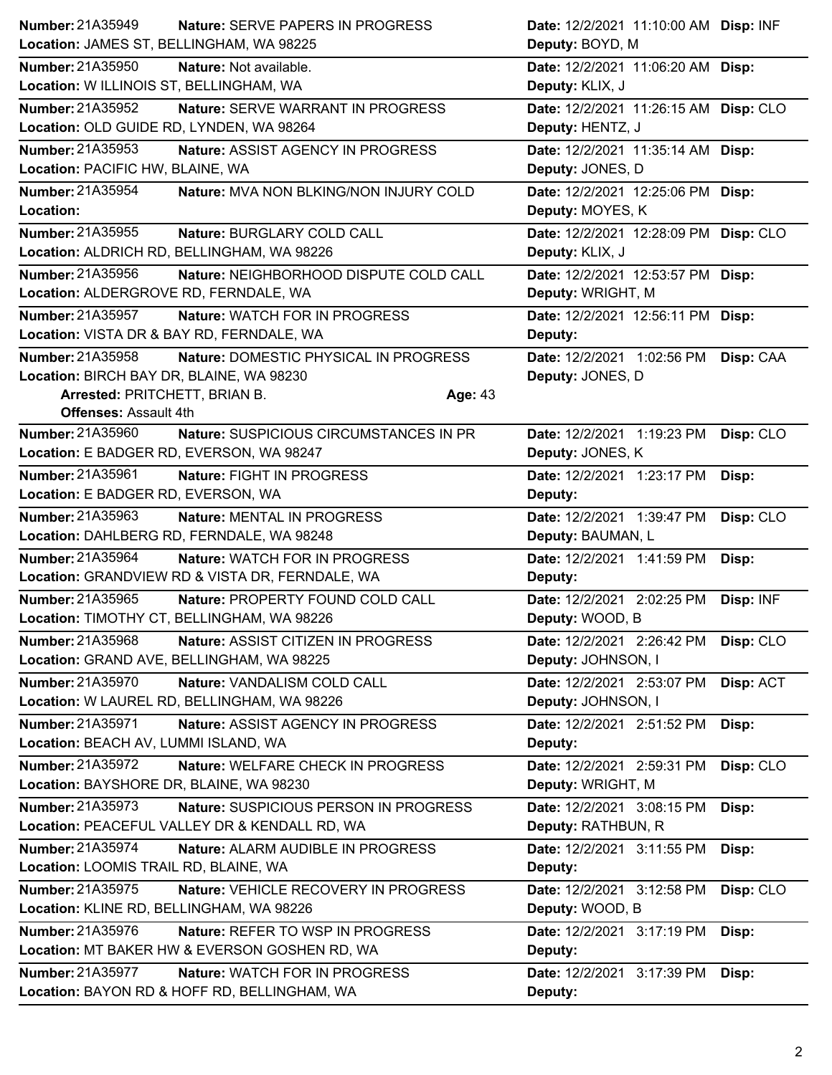|                                            | Nature: SERVE PAPERS IN PROGRESS                | Date: 12/2/2021 11:10:00 AM Disp: INF   |
|--------------------------------------------|-------------------------------------------------|-----------------------------------------|
| Location: JAMES ST, BELLINGHAM, WA 98225   |                                                 | Deputy: BOYD, M                         |
| Number: 21A35950                           | Nature: Not available.                          | Date: 12/2/2021 11:06:20 AM Disp:       |
| Location: W ILLINOIS ST, BELLINGHAM, WA    |                                                 | Deputy: KLIX, J                         |
| <b>Number: 21A35952</b>                    | Nature: SERVE WARRANT IN PROGRESS               | Date: 12/2/2021 11:26:15 AM Disp: CLO   |
| Location: OLD GUIDE RD, LYNDEN, WA 98264   |                                                 | Deputy: HENTZ, J                        |
| <b>Number: 21A35953</b>                    | Nature: ASSIST AGENCY IN PROGRESS               | Date: 12/2/2021 11:35:14 AM Disp:       |
| Location: PACIFIC HW, BLAINE, WA           |                                                 | Deputy: JONES, D                        |
| <b>Number: 21A35954</b>                    | Nature: MVA NON BLKING/NON INJURY COLD          | Date: 12/2/2021 12:25:06 PM Disp:       |
| Location:                                  |                                                 | Deputy: MOYES, K                        |
| <b>Number: 21A35955</b>                    | Nature: BURGLARY COLD CALL                      | Date: 12/2/2021 12:28:09 PM Disp: CLO   |
| Location: ALDRICH RD, BELLINGHAM, WA 98226 |                                                 | Deputy: KLIX, J                         |
| <b>Number: 21A35956</b>                    | Nature: NEIGHBORHOOD DISPUTE COLD CALL          | Date: 12/2/2021 12:53:57 PM Disp:       |
| Location: ALDERGROVE RD, FERNDALE, WA      |                                                 | Deputy: WRIGHT, M                       |
| Number: 21A35957                           | Nature: WATCH FOR IN PROGRESS                   | Date: 12/2/2021 12:56:11 PM Disp:       |
| Location: VISTA DR & BAY RD, FERNDALE, WA  |                                                 | Deputy:                                 |
| Number: 21A35958                           | Nature: DOMESTIC PHYSICAL IN PROGRESS           | Date: 12/2/2021 1:02:56 PM<br>Disp: CAA |
| Location: BIRCH BAY DR, BLAINE, WA 98230   |                                                 | Deputy: JONES, D                        |
| Arrested: PRITCHETT, BRIAN B.              |                                                 | Age: 43                                 |
| <b>Offenses: Assault 4th</b>               |                                                 |                                         |
| Number: 21A35960                           | Nature: SUSPICIOUS CIRCUMSTANCES IN PR          | Date: 12/2/2021 1:19:23 PM<br>Disp: CLO |
| Location: E BADGER RD, EVERSON, WA 98247   |                                                 | Deputy: JONES, K                        |
| <b>Number: 21A35961</b>                    | Nature: FIGHT IN PROGRESS                       | Date: 12/2/2021 1:23:17 PM<br>Disp:     |
| Location: E BADGER RD, EVERSON, WA         |                                                 | Deputy:                                 |
| <b>Number: 21A35963</b>                    | Nature: MENTAL IN PROGRESS                      | Date: 12/2/2021 1:39:47 PM<br>Disp: CLO |
| Location: DAHLBERG RD, FERNDALE, WA 98248  |                                                 | Deputy: BAUMAN, L                       |
| Number: 21A35964                           | <b>Nature: WATCH FOR IN PROGRESS</b>            | Date: 12/2/2021 1:41:59 PM<br>Disp:     |
|                                            |                                                 |                                         |
|                                            | Location: GRANDVIEW RD & VISTA DR, FERNDALE, WA | Deputy:                                 |
| Number: 21A35965                           | Nature: PROPERTY FOUND COLD CALL                | Date: 12/2/2021 2:02:25 PM<br>Disp: INF |
| Location: TIMOTHY CT, BELLINGHAM, WA 98226 |                                                 | Deputy: WOOD, B                         |
| Number: 21A35968                           | Nature: ASSIST CITIZEN IN PROGRESS              | Date: 12/2/2021 2:26:42 PM<br>Disp: CLO |
| Location: GRAND AVE, BELLINGHAM, WA 98225  |                                                 | Deputy: JOHNSON, I                      |
| Number: 21A35970                           | Nature: VANDALISM COLD CALL                     | Date: 12/2/2021 2:53:07 PM<br>Disp: ACT |
|                                            | Location: W LAUREL RD, BELLINGHAM, WA 98226     | Deputy: JOHNSON, I                      |
| Number: 21A35971                           | Nature: ASSIST AGENCY IN PROGRESS               | Date: 12/2/2021 2:51:52 PM<br>Disp:     |
| Location: BEACH AV, LUMMI ISLAND, WA       |                                                 | Deputy:                                 |
| Number: 21A35972                           | Nature: WELFARE CHECK IN PROGRESS               | Date: 12/2/2021 2:59:31 PM<br>Disp: CLO |
| Location: BAYSHORE DR, BLAINE, WA 98230    |                                                 | Deputy: WRIGHT, M                       |
| Number: 21A35973                           | Nature: SUSPICIOUS PERSON IN PROGRESS           | Date: 12/2/2021 3:08:15 PM<br>Disp:     |
|                                            | Location: PEACEFUL VALLEY DR & KENDALL RD, WA   | Deputy: RATHBUN, R                      |
| Number: 21A35974                           | Nature: ALARM AUDIBLE IN PROGRESS               | Date: 12/2/2021 3:11:55 PM<br>Disp:     |
| Location: LOOMIS TRAIL RD, BLAINE, WA      |                                                 | Deputy:                                 |
| Number: 21A35975                           | Nature: VEHICLE RECOVERY IN PROGRESS            | Disp: CLO<br>Date: 12/2/2021 3:12:58 PM |
| Location: KLINE RD, BELLINGHAM, WA 98226   |                                                 | Deputy: WOOD, B                         |
| Number: 21A35976                           | Nature: REFER TO WSP IN PROGRESS                | Date: 12/2/2021 3:17:19 PM<br>Disp:     |
|                                            | Location: MT BAKER HW & EVERSON GOSHEN RD, WA   | Deputy:                                 |
| <b>Number: 21A35977</b>                    | Nature: WATCH FOR IN PROGRESS                   | Date: 12/2/2021 3:17:39 PM<br>Disp:     |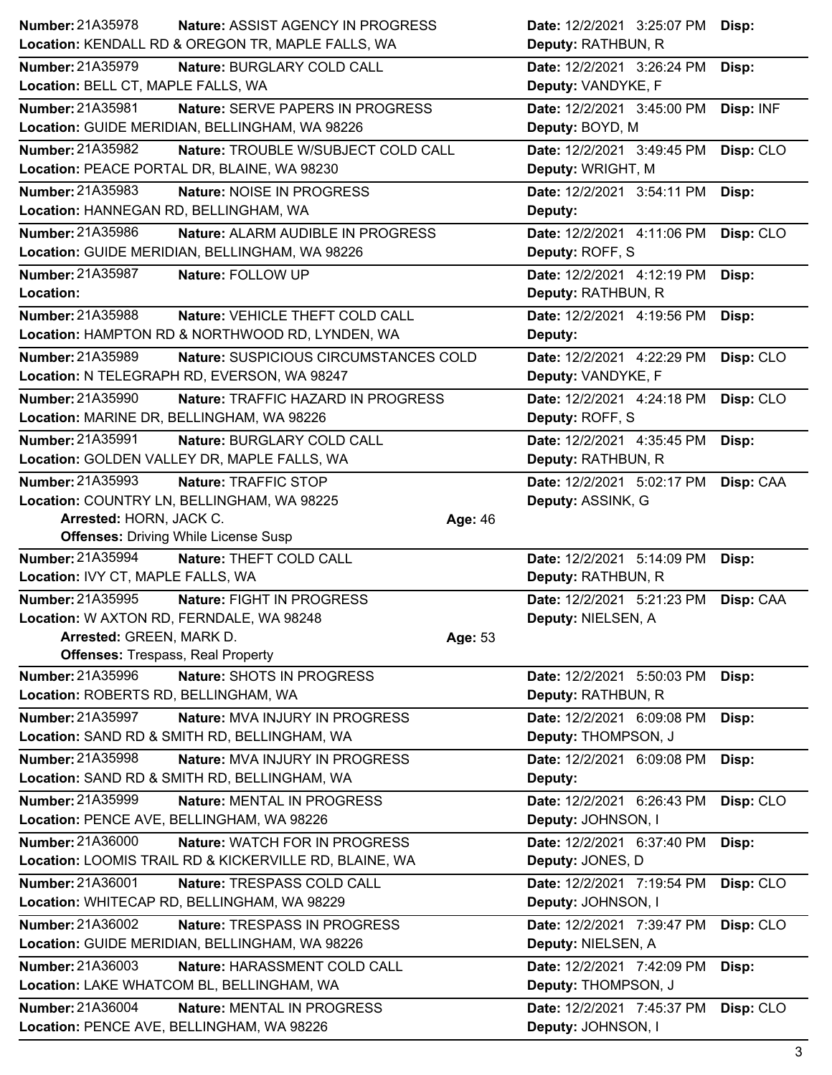| Number: 21A35978<br><b>Nature: ASSIST AGENCY IN PROGRESS</b>                                | Date: 12/2/2021 3:25:07 PM | Disp:     |
|---------------------------------------------------------------------------------------------|----------------------------|-----------|
| Location: KENDALL RD & OREGON TR, MAPLE FALLS, WA                                           | Deputy: RATHBUN, R         |           |
| Number: 21A35979<br>Nature: BURGLARY COLD CALL                                              | Date: 12/2/2021 3:26:24 PM | Disp:     |
| Location: BELL CT, MAPLE FALLS, WA                                                          | Deputy: VANDYKE, F         |           |
| Number: 21A35981<br>Nature: SERVE PAPERS IN PROGRESS                                        | Date: 12/2/2021 3:45:00 PM | Disp: INF |
| Location: GUIDE MERIDIAN, BELLINGHAM, WA 98226                                              | Deputy: BOYD, M            |           |
| Number: 21A35982<br>Nature: TROUBLE W/SUBJECT COLD CALL                                     | Date: 12/2/2021 3:49:45 PM | Disp: CLO |
| Location: PEACE PORTAL DR, BLAINE, WA 98230                                                 | Deputy: WRIGHT, M          |           |
| Number: 21A35983<br>Nature: NOISE IN PROGRESS                                               | Date: 12/2/2021 3:54:11 PM | Disp:     |
| Location: HANNEGAN RD, BELLINGHAM, WA                                                       | Deputy:                    |           |
| Number: 21A35986<br>Nature: ALARM AUDIBLE IN PROGRESS                                       | Date: 12/2/2021 4:11:06 PM | Disp: CLO |
| Location: GUIDE MERIDIAN, BELLINGHAM, WA 98226                                              | Deputy: ROFF, S            |           |
| <b>Number: 21A35987</b><br>Nature: FOLLOW UP                                                | Date: 12/2/2021 4:12:19 PM | Disp:     |
| Location:                                                                                   | Deputy: RATHBUN, R         |           |
| Number: 21A35988<br>Nature: VEHICLE THEFT COLD CALL                                         | Date: 12/2/2021 4:19:56 PM | Disp:     |
| Location: HAMPTON RD & NORTHWOOD RD, LYNDEN, WA                                             | Deputy:                    |           |
| Number: 21A35989<br>Nature: SUSPICIOUS CIRCUMSTANCES COLD                                   | Date: 12/2/2021 4:22:29 PM | Disp: CLO |
| Location: N TELEGRAPH RD, EVERSON, WA 98247                                                 | Deputy: VANDYKE, F         |           |
| Number: 21A35990<br>Nature: TRAFFIC HAZARD IN PROGRESS                                      | Date: 12/2/2021 4:24:18 PM | Disp: CLO |
| Location: MARINE DR, BELLINGHAM, WA 98226                                                   | Deputy: ROFF, S            |           |
| Number: 21A35991<br>Nature: BURGLARY COLD CALL                                              | Date: 12/2/2021 4:35:45 PM | Disp:     |
| Location: GOLDEN VALLEY DR, MAPLE FALLS, WA                                                 | Deputy: RATHBUN, R         |           |
| Number: 21A35993<br>Nature: TRAFFIC STOP                                                    | Date: 12/2/2021 5:02:17 PM | Disp: CAA |
| Location: COUNTRY LN, BELLINGHAM, WA 98225                                                  | Deputy: ASSINK, G          |           |
| Arrested: HORN, JACK C.<br>Age: 46                                                          |                            |           |
|                                                                                             |                            |           |
| <b>Offenses: Driving While License Susp</b>                                                 |                            |           |
| Number: 21A35994<br>Nature: THEFT COLD CALL                                                 | Date: 12/2/2021 5:14:09 PM | Disp:     |
| Location: IVY CT, MAPLE FALLS, WA                                                           | Deputy: RATHBUN, R         |           |
| Number: 21A35995<br>Nature: FIGHT IN PROGRESS                                               | Date: 12/2/2021 5:21:23 PM | Disp: CAA |
| Location: W AXTON RD, FERNDALE, WA 98248                                                    | Deputy: NIELSEN, A         |           |
| Arrested: GREEN, MARK D.<br>Age: 53                                                         |                            |           |
| <b>Offenses: Trespass, Real Property</b>                                                    |                            |           |
| Number: 21A35996<br>Nature: SHOTS IN PROGRESS                                               | Date: 12/2/2021 5:50:03 PM | Disp:     |
| Location: ROBERTS RD, BELLINGHAM, WA                                                        | Deputy: RATHBUN, R         |           |
| <b>Number: 21A35997</b><br>Nature: MVA INJURY IN PROGRESS                                   | Date: 12/2/2021 6:09:08 PM | Disp:     |
| Location: SAND RD & SMITH RD, BELLINGHAM, WA                                                | Deputy: THOMPSON, J        |           |
| Number: 21A35998<br>Nature: MVA INJURY IN PROGRESS                                          | Date: 12/2/2021 6:09:08 PM | Disp:     |
| Location: SAND RD & SMITH RD, BELLINGHAM, WA                                                | Deputy:                    |           |
| Number: 21A35999<br>Nature: MENTAL IN PROGRESS                                              | Date: 12/2/2021 6:26:43 PM | Disp: CLO |
| Location: PENCE AVE, BELLINGHAM, WA 98226                                                   | Deputy: JOHNSON, I         |           |
| <b>Number: 21A36000</b><br>Nature: WATCH FOR IN PROGRESS                                    | Date: 12/2/2021 6:37:40 PM | Disp:     |
| Location: LOOMIS TRAIL RD & KICKERVILLE RD, BLAINE, WA                                      | Deputy: JONES, D           |           |
| Number: 21A36001<br>Nature: TRESPASS COLD CALL                                              | Date: 12/2/2021 7:19:54 PM | Disp: CLO |
| Location: WHITECAP RD, BELLINGHAM, WA 98229                                                 | Deputy: JOHNSON, I         |           |
| Number: 21A36002<br>Nature: TRESPASS IN PROGRESS                                            | Date: 12/2/2021 7:39:47 PM | Disp: CLO |
| Location: GUIDE MERIDIAN, BELLINGHAM, WA 98226                                              | Deputy: NIELSEN, A         |           |
| Number: 21A36003<br>Nature: HARASSMENT COLD CALL                                            | Date: 12/2/2021 7:42:09 PM | Disp:     |
| Location: LAKE WHATCOM BL, BELLINGHAM, WA                                                   | Deputy: THOMPSON, J        |           |
| Number: 21A36004<br>Nature: MENTAL IN PROGRESS<br>Location: PENCE AVE, BELLINGHAM, WA 98226 | Date: 12/2/2021 7:45:37 PM | Disp: CLO |